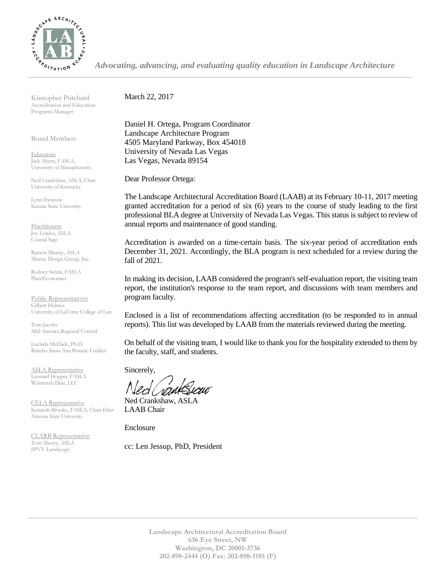

*Advocating, advancing, and evaluating quality education in Landscape Architecture*

Kristopher Pritchard Accreditation and Education Programs Manager

Board Members

Educators Jack Ahern, FASLA, University of Massachusetts

Ned Crankshaw, ASLA, Chair University of Kentucky

Lynn Ewanow Kansas State University

**Practitioners** Joy Lyndes, ASLA Coastal Sage

Ramon Murray, ASLA Murray Design Group, Inc.

Rodney Swink, FASLA PlaceEconomics

Public Representatives Gilbert Holmes University of LaVerne College of Law

Tom Jacobs Mid-America Regional Council

Lucinda McDade, Ph.D. Rancho Santa Ana Botanic Garden

ASLA Representative Leonard Hopper, FASLA Weintraub Diaz, LLC

CELA Representative Kenneth Brooks., FASLA, Chair-Elect Arizona State University

CLARB Representative Tom Sherry, ASLA SPVV Landscape

March 22, 2017

Daniel H. Ortega, Program Coordinator Landscape Architecture Program 4505 Maryland Parkway, Box 454018 University of Nevada Las Vegas Las Vegas, Nevada 89154

Dear Professor Ortega:

The Landscape Architectural Accreditation Board (LAAB) at its February 10-11, 2017 meeting granted accreditation for a period of six (6) years to the course of study leading to the first professional BLA degree at University of Nevada Las Vegas. This status is subject to review of annual reports and maintenance of good standing.

Accreditation is awarded on a time-certain basis. The six-year period of accreditation ends December 31, 2021. Accordingly, the BLA program is next scheduled for a review during the fall of 2021.

In making its decision, LAAB considered the program's self-evaluation report, the visiting team report, the institution's response to the team report, and discussions with team members and program faculty.

Enclosed is a list of recommendations affecting accreditation (to be responded to in annual reports). This list was developed by LAAB from the materials reviewed during the meeting.

On behalf of the visiting team, I would like to thank you for the hospitality extended to them by the faculty, staff, and students.

Sincerely,

Ned Crankshaw, ASLA LAAB Chair

Enclosure

cc: Len Jessup, PhD, President